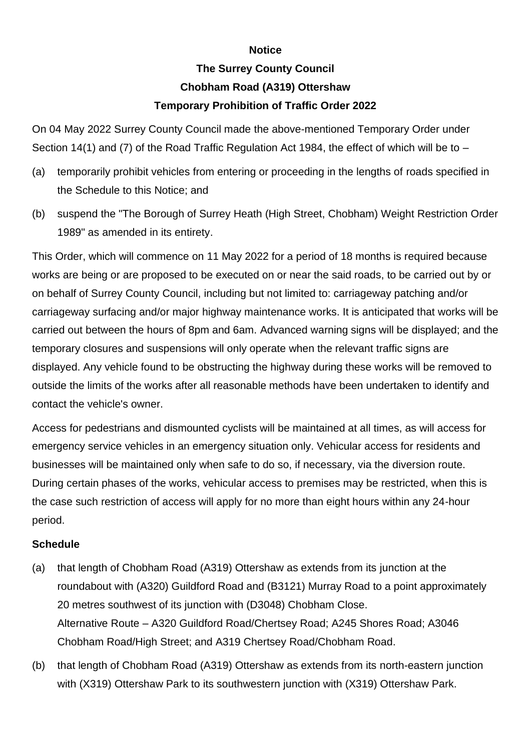## **Notice**

## **The Surrey County Council Chobham Road (A319) Ottershaw Temporary Prohibition of Traffic Order 2022**

On 04 May 2022 Surrey County Council made the above-mentioned Temporary Order under Section 14(1) and (7) of the Road Traffic Regulation Act 1984, the effect of which will be to –

- (a) temporarily prohibit vehicles from entering or proceeding in the lengths of roads specified in the Schedule to this Notice; and
- (b) suspend the "The Borough of Surrey Heath (High Street, Chobham) Weight Restriction Order 1989" as amended in its entirety.

This Order, which will commence on 11 May 2022 for a period of 18 months is required because works are being or are proposed to be executed on or near the said roads, to be carried out by or on behalf of Surrey County Council, including but not limited to: carriageway patching and/or carriageway surfacing and/or major highway maintenance works. It is anticipated that works will be carried out between the hours of 8pm and 6am. Advanced warning signs will be displayed; and the temporary closures and suspensions will only operate when the relevant traffic signs are displayed. Any vehicle found to be obstructing the highway during these works will be removed to outside the limits of the works after all reasonable methods have been undertaken to identify and contact the vehicle's owner.

Access for pedestrians and dismounted cyclists will be maintained at all times, as will access for emergency service vehicles in an emergency situation only. Vehicular access for residents and businesses will be maintained only when safe to do so, if necessary, via the diversion route. During certain phases of the works, vehicular access to premises may be restricted, when this is the case such restriction of access will apply for no more than eight hours within any 24-hour period.

## **Schedule**

- (a) that length of Chobham Road (A319) Ottershaw as extends from its junction at the roundabout with (A320) Guildford Road and (B3121) Murray Road to a point approximately 20 metres southwest of its junction with (D3048) Chobham Close. Alternative Route – A320 Guildford Road/Chertsey Road; A245 Shores Road; A3046 Chobham Road/High Street; and A319 Chertsey Road/Chobham Road.
- (b) that length of Chobham Road (A319) Ottershaw as extends from its north-eastern junction with (X319) Ottershaw Park to its southwestern junction with (X319) Ottershaw Park.